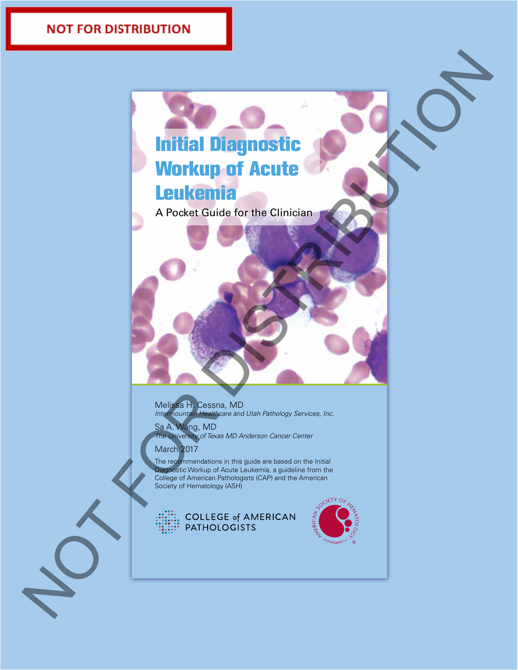# Initial Diagnostic Initial Workup of Acute Workup of Acute Leukemia Leukemia Norkup of Acute<br>
Workup of Acute<br>
A Procession Contract Contract Contract Contract Contract Contract Contract Contract Contract Contract Contract Contract Contract Contract Contract Contract Contract Contract Contract Cont

A Pocket Guide for the Clinician A Pocket Guide for the Clinician

Melissa H. Cessna, MD *Intermountain Healthcare and Utah Pathology Services, Inc.*

Sa A. Wang, MD *The University of Texas MD Anderson Cancer Center*

March 2017

The recommendations in this guide are based on the Initial Diagnostic Workup of Acute Leukemia, a guideline from the College of American Pathologists (CAP) and the American Society of Hematology (ASH)

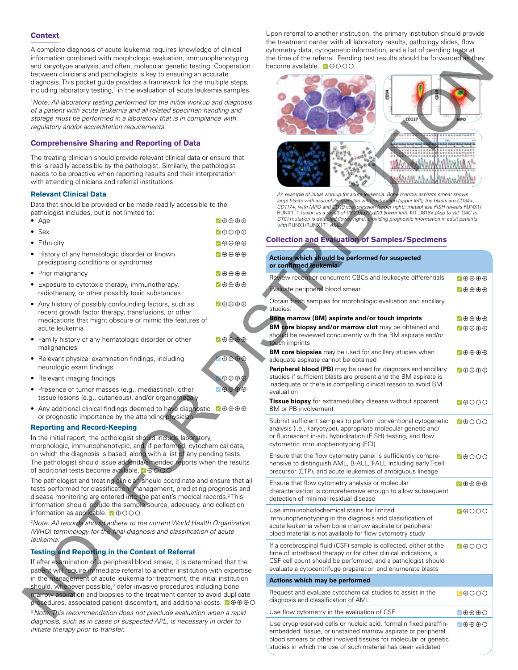### **Context**

A complete diagnosis of acute leukemia requires knowledge of clinical information combined with morphologic evaluation, immunophenotyping and karyotype analysis, and often, molecular genetic testing. Cooperation between clinicians and pathologists is key to ensuring an accurate diagnosis. This pocket guide provides a framework for the multiple steps, including laboratory testing,<sup>1</sup> in the evaluation of acute leukemia samples.

# **Comprehensive Sharing and Reporting of Data**

### **Relevant Clinical Data**

| Age                                                                                                                                                                                         | √⊕⊕⊕⊕                  |
|---------------------------------------------------------------------------------------------------------------------------------------------------------------------------------------------|------------------------|
| $\bullet\,$ Sex                                                                                                                                                                             | ✔⊕⊕⊕⊕                  |
| • Ethnicity                                                                                                                                                                                 | ✔⊕⊕⊕⊕                  |
| • History of any hematologic disorder or known<br>predisposing conditions or syndromes                                                                                                      | √⊕⊕⊕⊕                  |
| Prior malignancy                                                                                                                                                                            | ✔⊕⊕⊕⊕                  |
| Exposure to cytotoxic therapy, immunotherapy,<br>radiotherapy, or other possibly toxic substances                                                                                           | 7⊕⊕⊕⊕                  |
| • Any history of possibly confounding factors, such as<br>recent growth factor therapy, transfusions, or other<br>medications that might obscure or mimic the features of<br>acute leukemia | $\sqrt{1+\theta}$      |
| Family history of any hematologic disorder or other<br>malignancies                                                                                                                         | ひののの                   |
| Relevant physical examination findings, including<br>neurologic exam findings                                                                                                               | $\oplus \oplus \oplus$ |
| Relevant imaging findings                                                                                                                                                                   | ⊕⊕⊕⊕                   |
| • Presence of tumor masses (e.g., mediastinal), other                                                                                                                                       | $\oplus \oplus \oplus$ |

### **Reporting and Record-Keeping**

# **Testing and Reporting in the Context of Referral**

Upon referral to another institution, the primary institution should provide the treatment center with all laboratory results, pathology slides, flow cytometry data, cytogenetic information, and a list of pending tests at the time of the referral. Pending test results should be forwarded as they become available. **M**OOO



# **Collection and Evaluation of Samples/Specimens**

| A complete diagnosis of acute leukernia requires knowledge of cilmical<br>information combined with morphologic evaluation, immunophenotyping<br>and karyotype analysis, and often, molecular genetic testing. Cooperation<br>between clinicians and pathologists is key to ensuring an accurate<br>diagnosis. This pocket guide provides a framework for the multiple steps,          |                                                                                                                                                                           | cytometry data, cytogenetic information, and a list of pending tests at<br>the time of the referral. Pending test results should be forwarded as they<br>become available. <b>M</b> ⊕OOO                                                                                                                                                                                       |                                                                              |
|----------------------------------------------------------------------------------------------------------------------------------------------------------------------------------------------------------------------------------------------------------------------------------------------------------------------------------------------------------------------------------------|---------------------------------------------------------------------------------------------------------------------------------------------------------------------------|--------------------------------------------------------------------------------------------------------------------------------------------------------------------------------------------------------------------------------------------------------------------------------------------------------------------------------------------------------------------------------|------------------------------------------------------------------------------|
| including laboratory testing, <sup>1</sup> in the evaluation of acute leukemia samples.<br><sup>1</sup> Note: All laboratory testing performed for the initial workup and diagnosis<br>of a patient with acute leukemia and all related specimen handling and<br>storage must be performed in a laboratory that is in compliance with<br>regulatory and/or accreditation requirements. |                                                                                                                                                                           | dear<br>CD117                                                                                                                                                                                                                                                                                                                                                                  | lеo                                                                          |
| <b>Comprehensive Sharing and Reporting of Data</b>                                                                                                                                                                                                                                                                                                                                     |                                                                                                                                                                           |                                                                                                                                                                                                                                                                                                                                                                                |                                                                              |
| The treating clinician should provide relevant clinical data or ensure that<br>this is readily accessible by the pathologist. Similarly, the pathologist<br>needs to be proactive when reporting results and their interpretation<br>with attending clinicians and referral institutions.                                                                                              |                                                                                                                                                                           |                                                                                                                                                                                                                                                                                                                                                                                |                                                                              |
| <b>Relevant Clinical Data</b>                                                                                                                                                                                                                                                                                                                                                          |                                                                                                                                                                           | An example of initial workup for acute leukemia. Bone marrow aspirate smear shows                                                                                                                                                                                                                                                                                              |                                                                              |
| Data that should be provided or be made readily accessible to the<br>pathologist includes, but is not limited to:<br>$\bullet$ Age                                                                                                                                                                                                                                                     | $\nabla \oplus \oplus \oplus \oplus$                                                                                                                                      | large blasts with azurophilic granules with maturation (upper left); the blasts are CD34+,<br>CD117+, with MPO and CD19 coexpression (upper right); metaphase FISH reveals RUNX1/<br>RUNX1T1 fusion as a result of t(8;21)(q22;q22) (lower left). KIT D816V (Asp to Val, GAC to<br>GTC) mutation is detected (lower right), providing prognostic information in adult patients |                                                                              |
| $\bullet$ Sex                                                                                                                                                                                                                                                                                                                                                                          | $\blacksquare \oplus \oplus \oplus \oplus$                                                                                                                                | with RUNX1/RUNX1T1 AML.                                                                                                                                                                                                                                                                                                                                                        |                                                                              |
| • Ethnicity                                                                                                                                                                                                                                                                                                                                                                            | $\nabla \oplus \oplus \oplus \oplus$                                                                                                                                      | <b>Collection and Evaluation of Samples/Specimens</b>                                                                                                                                                                                                                                                                                                                          |                                                                              |
| • History of any hematologic disorder or known<br>predisposing conditions or syndromes                                                                                                                                                                                                                                                                                                 | $\nabla \oplus \oplus \oplus \oplus$                                                                                                                                      | Actions which should be performed for suspected<br>or confirmed leukemia                                                                                                                                                                                                                                                                                                       |                                                                              |
| • Prior malignancy                                                                                                                                                                                                                                                                                                                                                                     | $\nabla \oplus \oplus \oplus \oplus$                                                                                                                                      | Review recent or concurrent CBCs and leukocyte differentials                                                                                                                                                                                                                                                                                                                   | ◘⊕⊕⊕⊕                                                                        |
| • Exposure to cytotoxic therapy, immunotherapy,                                                                                                                                                                                                                                                                                                                                        | $\nabla \oplus \oplus \oplus \oplus$                                                                                                                                      | Evaluate peripheral blood smear                                                                                                                                                                                                                                                                                                                                                | $\blacksquare \oplus \oplus \oplus \oplus$                                   |
| radiotherapy, or other possibly toxic substances                                                                                                                                                                                                                                                                                                                                       |                                                                                                                                                                           | Obtain fresh samples for morphologic evaluation and ancillary                                                                                                                                                                                                                                                                                                                  |                                                                              |
| • Any history of possibly confounding factors, such as<br>recent growth factor therapy, transfusions, or other<br>medications that might obscure or mimic the features of<br>acute leukemia                                                                                                                                                                                            | $\sqrt{\oplus \oplus \oplus \oplus}$                                                                                                                                      | studies:<br><b>Bone</b> marrow (BM) aspirate and/or touch imprints<br>BM core biopsy and/or marrow clot may be obtained and<br>should be reviewed concurrently with the BM aspirate and/or                                                                                                                                                                                     | $\nabla \oplus \oplus \oplus \oplus$<br>$\sqrt{\oplus \oplus \oplus \oplus}$ |
| • Family history of any hematologic disorder or other<br>malignancies                                                                                                                                                                                                                                                                                                                  | $\nabla \oplus \oplus \oplus \oplus$                                                                                                                                      | touch imprints<br><b>BM core biopsies</b> may be used for ancillary studies when                                                                                                                                                                                                                                                                                               | $\nabla \oplus \oplus \oplus \oplus$                                         |
| • Relevant physical examination findings, including<br>neurologic exam findings                                                                                                                                                                                                                                                                                                        | $\oplus \oplus \oplus$                                                                                                                                                    | adequate aspirate cannot be obtained<br>Peripheral blood (PB) may be used for diagnosis and ancillary                                                                                                                                                                                                                                                                          | $\nabla \oplus \oplus \oplus \oplus$                                         |
| • Relevant imaging findings                                                                                                                                                                                                                                                                                                                                                            | $\oplus \oplus \oplus \oplus$                                                                                                                                             | studies if sufficient blasts are present and the BM aspirate is<br>inadequate or there is compelling clinical reason to avoid BM                                                                                                                                                                                                                                               |                                                                              |
| • Presence of tumor masses (e.g., mediastinal), other<br>tissue lesions (e.g., cutaneous), and/or organomegaly                                                                                                                                                                                                                                                                         | $\nabla \oplus \oplus \oplus$                                                                                                                                             | evaluation<br>Tissue biopsy for extramedullary disease without apparent                                                                                                                                                                                                                                                                                                        | 70000                                                                        |
| • Any additional clinical findings deemed to have diagnostic<br>or prognostic importance by the attending physician                                                                                                                                                                                                                                                                    | $\sqrt{\theta \oplus \theta \oplus \theta}$                                                                                                                               | BM or PB involvement<br>Submit sufficient samples to perform conventional cytogenetic                                                                                                                                                                                                                                                                                          | <b>M</b> OOO                                                                 |
| <b>Reporting and Record-Keeping</b><br>In the initial report, the pathologist should include laboratory,<br>morphologic, immunophenotypic, and, if performed, cytochemical data,                                                                                                                                                                                                       |                                                                                                                                                                           | analysis (i.e., karyotype), appropriate molecular genetic and/<br>or fluorescent in-situ hybridization (FISH) testing, and flow<br>cytometric immunophenotyping (FCI)                                                                                                                                                                                                          |                                                                              |
| on which the diagnosis is based, along with a list of any pending tests.<br>The pathologist should issue addenda/amended reports when the results<br>of additional tests become available. $\blacksquare \oplus \bigcirc \bigcirc \bigcirc$                                                                                                                                            |                                                                                                                                                                           | Ensure that the flow cytometry panel is sufficiently compre-<br>hensive to distinguish AML, B-ALL, T-ALL including early T-cell<br>precursor (ETP), and acute leukemias of ambiguous lineage                                                                                                                                                                                   | 70000                                                                        |
| The pathologist and treating clinician should coordinate and ensure that all<br>tests performed for classification, management, predicting prognosis and<br>disease monitoring are entered into the patient's medical records. <sup>2</sup> This<br>information should include the sample source, adequacy, and collection                                                             |                                                                                                                                                                           | Ensure that flow cytometry analysis or molecular<br>characterization is comprehensive enough to allow subsequent<br>detection of minimal residual disease                                                                                                                                                                                                                      | $\nabla \oplus \oplus \oplus \oplus$                                         |
| information as applicable. 40000<br><sup>2</sup> Note: All records should adhere to the current World Health Organization<br>(WHO) terminology for the final diagnosis and classification of acute                                                                                                                                                                                     |                                                                                                                                                                           | Use immunohistochemical stains for limited<br>immunophenotyping in the diagnosis and classification of<br>acute leukemia when bone marrow aspirate or peripheral<br>blood material is not available for flow cytometry study                                                                                                                                                   | <b>M</b> OOO                                                                 |
| <b>Testing and Reporting in the Context of Referral</b>                                                                                                                                                                                                                                                                                                                                | leukemia.<br>If after examination of a peripheral blood smear, it is determined that the<br>patient will require immediate referral to another institution with expertise |                                                                                                                                                                                                                                                                                                                                                                                | <b>Y</b> OOO                                                                 |
| in the management of acute leukemia for treatment, the initial institution                                                                                                                                                                                                                                                                                                             |                                                                                                                                                                           | Actions which may be performed                                                                                                                                                                                                                                                                                                                                                 |                                                                              |
| should, whenever possible, <sup>3</sup> defer invasive procedures including bone<br>marrow aspiration and biopsies to the treatment center to avoid duplicate<br>procedures, associated patient discomfort, and additional costs. $\blacksquare \oplus \oplus \oplus \bigcirc$                                                                                                         |                                                                                                                                                                           | Request and evaluate cytochemical studies to assist in the<br>diagnosis and classification of AML                                                                                                                                                                                                                                                                              | $G \oplus$ 000                                                               |
| <sup>3</sup> Note: This recommendation does not preclude evaluation when a rapid                                                                                                                                                                                                                                                                                                       |                                                                                                                                                                           | Use flow cytometry in the evaluation of CSF                                                                                                                                                                                                                                                                                                                                    | $\blacksquare \oplus \oplus \oplus \bigcirc$                                 |
| diagnosis, such as in cases of suspected APL, is necessary in order to<br>initiate therapy prior to transfer.                                                                                                                                                                                                                                                                          |                                                                                                                                                                           | Use cryopreserved cells or nucleic acid, formalin fixed paraffin-<br>embedded tissue, or unstained marrow aspirate or peripheral<br>blood smears or other involved tissues for molecular or genetic<br>studies in which the use of such material has been validated                                                                                                            | $\blacksquare \oplus \oplus \oplus \bigcirc$                                 |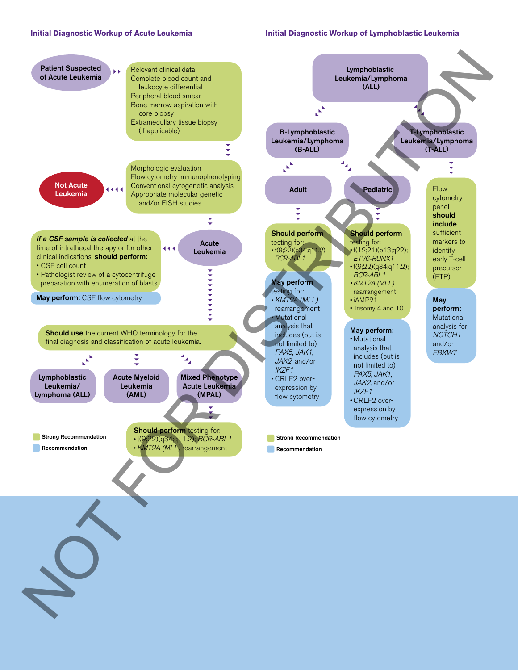### **Initial Diagnostic Workup of Acute Leukemia**

### **Initial Diagnostic Workup of Lymphoblastic Leukemia**